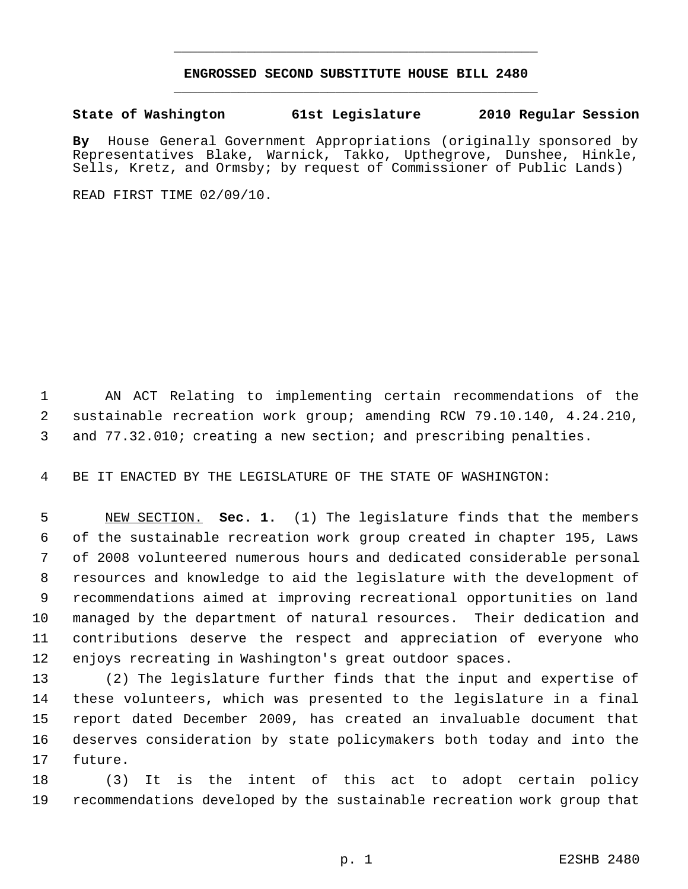## **ENGROSSED SECOND SUBSTITUTE HOUSE BILL 2480** \_\_\_\_\_\_\_\_\_\_\_\_\_\_\_\_\_\_\_\_\_\_\_\_\_\_\_\_\_\_\_\_\_\_\_\_\_\_\_\_\_\_\_\_\_

\_\_\_\_\_\_\_\_\_\_\_\_\_\_\_\_\_\_\_\_\_\_\_\_\_\_\_\_\_\_\_\_\_\_\_\_\_\_\_\_\_\_\_\_\_

## **State of Washington 61st Legislature 2010 Regular Session**

**By** House General Government Appropriations (originally sponsored by Representatives Blake, Warnick, Takko, Upthegrove, Dunshee, Hinkle, Sells, Kretz, and Ormsby; by request of Commissioner of Public Lands)

READ FIRST TIME 02/09/10.

 AN ACT Relating to implementing certain recommendations of the sustainable recreation work group; amending RCW 79.10.140, 4.24.210, and 77.32.010; creating a new section; and prescribing penalties.

BE IT ENACTED BY THE LEGISLATURE OF THE STATE OF WASHINGTON:

 NEW SECTION. **Sec. 1.** (1) The legislature finds that the members of the sustainable recreation work group created in chapter 195, Laws of 2008 volunteered numerous hours and dedicated considerable personal resources and knowledge to aid the legislature with the development of recommendations aimed at improving recreational opportunities on land managed by the department of natural resources. Their dedication and contributions deserve the respect and appreciation of everyone who enjoys recreating in Washington's great outdoor spaces.

 (2) The legislature further finds that the input and expertise of these volunteers, which was presented to the legislature in a final report dated December 2009, has created an invaluable document that deserves consideration by state policymakers both today and into the future.

 (3) It is the intent of this act to adopt certain policy recommendations developed by the sustainable recreation work group that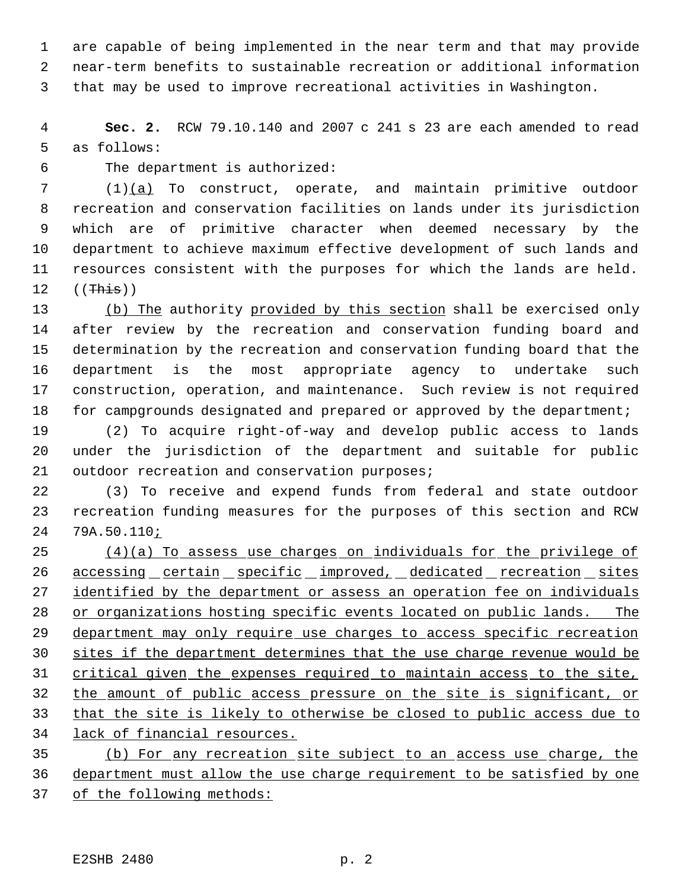are capable of being implemented in the near term and that may provide near-term benefits to sustainable recreation or additional information that may be used to improve recreational activities in Washington.

 **Sec. 2.** RCW 79.10.140 and 2007 c 241 s 23 are each amended to read as follows:

The department is authorized:

 (1)(a) To construct, operate, and maintain primitive outdoor recreation and conservation facilities on lands under its jurisdiction which are of primitive character when deemed necessary by the department to achieve maximum effective development of such lands and resources consistent with the purposes for which the lands are held. ((This))

 (b) The authority provided by this section shall be exercised only after review by the recreation and conservation funding board and determination by the recreation and conservation funding board that the department is the most appropriate agency to undertake such construction, operation, and maintenance. Such review is not required 18 for campgrounds designated and prepared or approved by the department;

 (2) To acquire right-of-way and develop public access to lands under the jurisdiction of the department and suitable for public 21 outdoor recreation and conservation purposes;

 (3) To receive and expend funds from federal and state outdoor recreation funding measures for the purposes of this section and RCW 79A.50.110;

 (4)(a) To assess use charges on individuals for the privilege of 26 accessing certain specific improved, dedicated recreation sites 27 identified by the department or assess an operation fee on individuals or organizations hosting specific events located on public lands. The 29 department may only require use charges to access specific recreation sites if the department determines that the use charge revenue would be critical given the expenses required to maintain access to the site, the amount of public access pressure on the site is significant, or that the site is likely to otherwise be closed to public access due to lack of financial resources. (b) For any recreation site subject to an access use charge, the

 department must allow the use charge requirement to be satisfied by one of the following methods: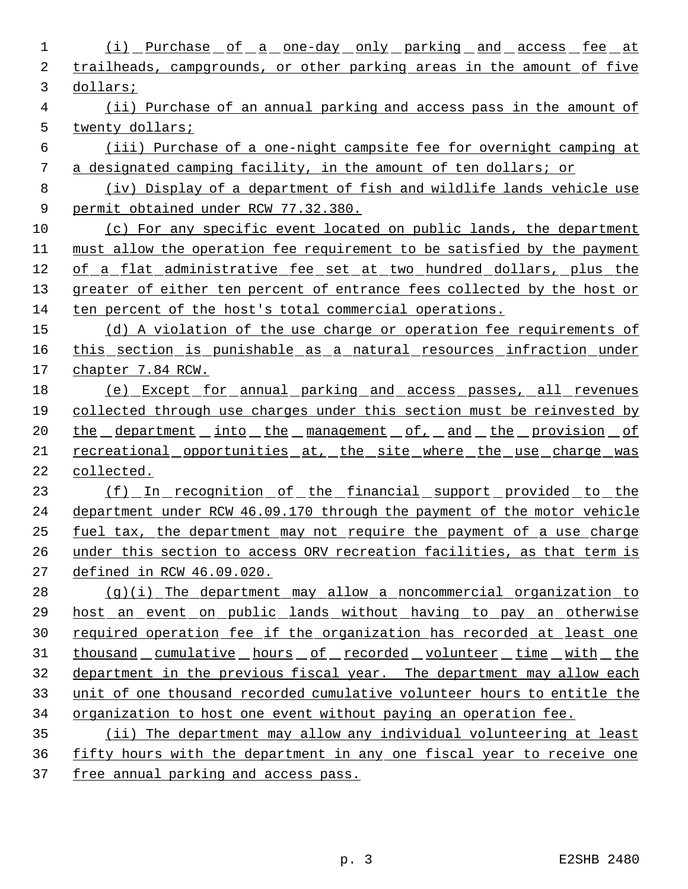1 (i) Purchase of a one-day only parking and access fee at trailheads, campgrounds, or other parking areas in the amount of five dollars; (ii) Purchase of an annual parking and access pass in the amount of twenty dollars; (iii) Purchase of a one-night campsite fee for overnight camping at a designated camping facility, in the amount of ten dollars; or (iv) Display of a department of fish and wildlife lands vehicle use permit obtained under RCW 77.32.380. (c) For any specific event located on public lands, the department must allow the operation fee requirement to be satisfied by the payment of a flat administrative fee set at two hundred dollars, plus the 13 greater of either ten percent of entrance fees collected by the host or ten percent of the host's total commercial operations. 15 (d) A violation of the use charge or operation fee requirements of 16 this section is punishable as a natural resources infraction under chapter 7.84 RCW. (e) Except for annual parking and access passes, all revenues collected through use charges under this section must be reinvested by 20 the department into the management of, and the provision of 21 recreational opportunities at, the site where the use charge was collected. 23 (f) In recognition of the financial support provided to the department under RCW 46.09.170 through the payment of the motor vehicle fuel tax, the department may not require the payment of a use charge under this section to access ORV recreation facilities, as that term is defined in RCW 46.09.020. (g)(i) The department may allow a noncommercial organization to host an event on public lands without having to pay an otherwise required operation fee if the organization has recorded at least one 31 thousand cumulative hours of recorded volunteer time with the department in the previous fiscal year. The department may allow each unit of one thousand recorded cumulative volunteer hours to entitle the organization to host one event without paying an operation fee. (ii) The department may allow any individual volunteering at least fifty hours with the department in any one fiscal year to receive one

free annual parking and access pass.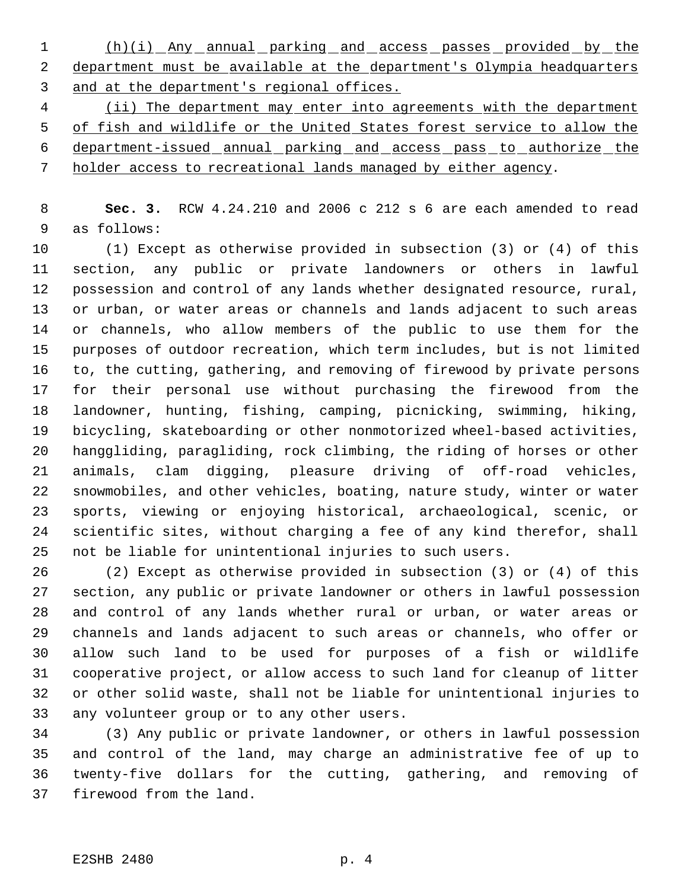1 (h)(i) Any annual parking and access passes provided by the 2 department must be available at the department's Olympia headquarters and at the department's regional offices.

4 (ii) The department may enter into agreements with the department of fish and wildlife or the United States forest service to allow the department-issued annual parking and access pass to authorize the holder access to recreational lands managed by either agency.

 **Sec. 3.** RCW 4.24.210 and 2006 c 212 s 6 are each amended to read as follows:

 (1) Except as otherwise provided in subsection (3) or (4) of this section, any public or private landowners or others in lawful possession and control of any lands whether designated resource, rural, or urban, or water areas or channels and lands adjacent to such areas or channels, who allow members of the public to use them for the purposes of outdoor recreation, which term includes, but is not limited to, the cutting, gathering, and removing of firewood by private persons for their personal use without purchasing the firewood from the landowner, hunting, fishing, camping, picnicking, swimming, hiking, bicycling, skateboarding or other nonmotorized wheel-based activities, hanggliding, paragliding, rock climbing, the riding of horses or other animals, clam digging, pleasure driving of off-road vehicles, snowmobiles, and other vehicles, boating, nature study, winter or water sports, viewing or enjoying historical, archaeological, scenic, or scientific sites, without charging a fee of any kind therefor, shall not be liable for unintentional injuries to such users.

 (2) Except as otherwise provided in subsection (3) or (4) of this section, any public or private landowner or others in lawful possession and control of any lands whether rural or urban, or water areas or channels and lands adjacent to such areas or channels, who offer or allow such land to be used for purposes of a fish or wildlife cooperative project, or allow access to such land for cleanup of litter or other solid waste, shall not be liable for unintentional injuries to any volunteer group or to any other users.

 (3) Any public or private landowner, or others in lawful possession and control of the land, may charge an administrative fee of up to twenty-five dollars for the cutting, gathering, and removing of firewood from the land.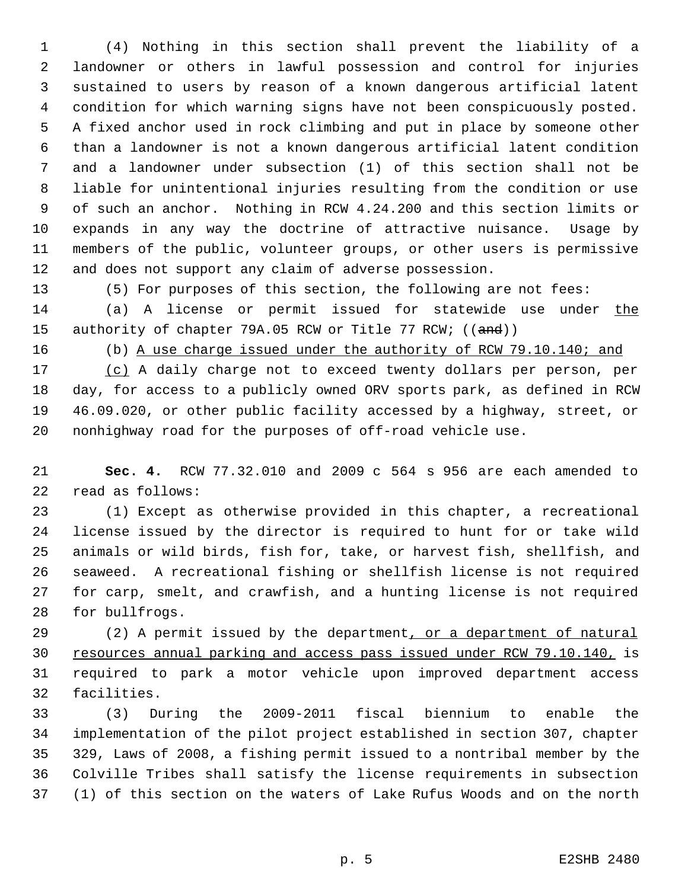(4) Nothing in this section shall prevent the liability of a landowner or others in lawful possession and control for injuries sustained to users by reason of a known dangerous artificial latent condition for which warning signs have not been conspicuously posted. A fixed anchor used in rock climbing and put in place by someone other than a landowner is not a known dangerous artificial latent condition and a landowner under subsection (1) of this section shall not be liable for unintentional injuries resulting from the condition or use of such an anchor. Nothing in RCW 4.24.200 and this section limits or expands in any way the doctrine of attractive nuisance. Usage by members of the public, volunteer groups, or other users is permissive and does not support any claim of adverse possession.

(5) For purposes of this section, the following are not fees:

 (a) A license or permit issued for statewide use under the 15 authority of chapter 79A.05 RCW or Title 77 RCW; ((and))

(b) A use charge issued under the authority of RCW 79.10.140; and

 (c) A daily charge not to exceed twenty dollars per person, per day, for access to a publicly owned ORV sports park, as defined in RCW 46.09.020, or other public facility accessed by a highway, street, or nonhighway road for the purposes of off-road vehicle use.

 **Sec. 4.** RCW 77.32.010 and 2009 c 564 s 956 are each amended to read as follows:

 (1) Except as otherwise provided in this chapter, a recreational license issued by the director is required to hunt for or take wild animals or wild birds, fish for, take, or harvest fish, shellfish, and seaweed. A recreational fishing or shellfish license is not required for carp, smelt, and crawfish, and a hunting license is not required for bullfrogs.

29 (2) A permit issued by the department, or a department of natural 30 resources annual parking and access pass issued under RCW 79.10.140, is required to park a motor vehicle upon improved department access facilities.

 (3) During the 2009-2011 fiscal biennium to enable the implementation of the pilot project established in section 307, chapter 329, Laws of 2008, a fishing permit issued to a nontribal member by the Colville Tribes shall satisfy the license requirements in subsection (1) of this section on the waters of Lake Rufus Woods and on the north